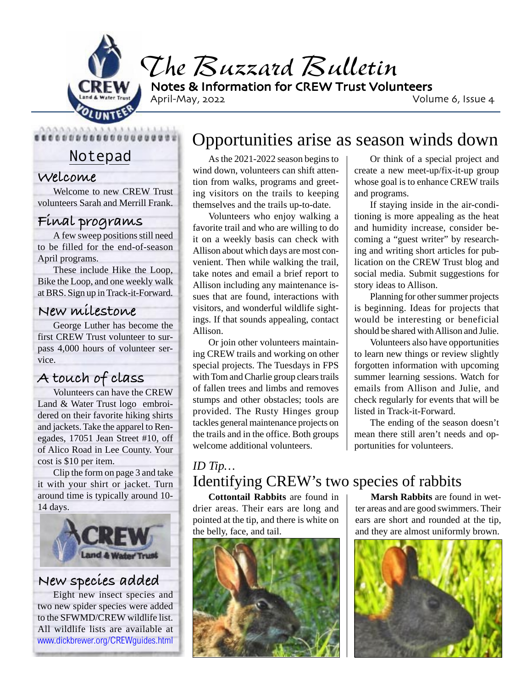

*The Buzzard Bulletin* Notes & Information for CREW Trust Volunteers

April-May, 2022 **Volume 6, Issue 4** 

Notepad

...................

#### **Welcome**

Welcome to new CREW Trust volunteers Sarah and Merrill Frank.

### **Final programs**

A few sweep positions still need to be filled for the end-of-season April programs.

These include Hike the Loop, Bike the Loop, and one weekly walk at BRS. Sign up in Track-it-Forward.

#### **New milestone**

George Luther has become the first CREW Trust volunteer to surpass 4,000 hours of volunteer service.

## **A touch of class**

Volunteers can have the CREW Land & Water Trust logo embroidered on their favorite hiking shirts and jackets. Take the apparel to Renegades, 17051 Jean Street #10, off of Alico Road in Lee County. Your cost is \$10 per item.

Clip the form on page 3 and take it with your shirt or jacket. Turn around time is typically around 10- 14 days.



### **New species added**

Eight new insect species and two new spider species were added to the SFWMD/CREW wildlife list. All wildlife lists are available at www.dickbrewer.org/CREWguides.html

# Opportunities arise as season winds down

As the 2021-2022 season begins to wind down, volunteers can shift attention from walks, programs and greeting visitors on the trails to keeping themselves and the trails up-to-date.

Volunteers who enjoy walking a favorite trail and who are willing to do it on a weekly basis can check with Allison about which days are most convenient. Then while walking the trail, take notes and email a brief report to Allison including any maintenance issues that are found, interactions with visitors, and wonderful wildlife sightings. If that sounds appealing, contact Allison.

Or join other volunteers maintaining CREW trails and working on other special projects. The Tuesdays in FPS with Tom and Charlie group clears trails of fallen trees and limbs and removes stumps and other obstacles; tools are provided. The Rusty Hinges group tackles general maintenance projects on the trails and in the office. Both groups welcome additional volunteers.

Or think of a special project and create a new meet-up/fix-it-up group whose goal is to enhance CREW trails and programs.

If staying inside in the air-conditioning is more appealing as the heat and humidity increase, consider becoming a "guest writer" by researching and writing short articles for publication on the CREW Trust blog and social media. Submit suggestions for story ideas to Allison.

Planning for other summer projects is beginning. Ideas for projects that would be interesting or beneficial should be shared with Allison and Julie.

Volunteers also have opportunities to learn new things or review slightly forgotten information with upcoming summer learning sessions. Watch for emails from Allison and Julie, and check regularly for events that will be listed in Track-it-Forward.

The ending of the season doesn't mean there still aren't needs and opportunities for volunteers.

### *ID Tip…* Identifying CREW's two species of rabbits

**Cottontail Rabbits** are found in drier areas. Their ears are long and pointed at the tip, and there is white on the belly, face, and tail.



**Marsh Rabbits** are found in wetter areas and are good swimmers. Their ears are short and rounded at the tip, and they are almost uniformly brown.

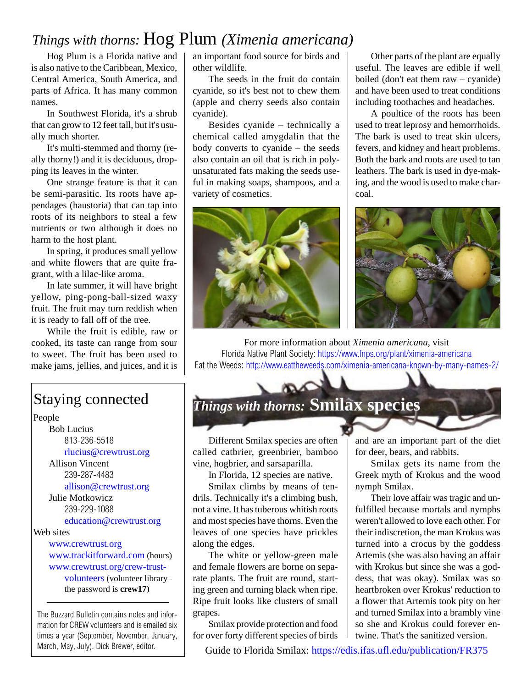### *Things with thorns:* Hog Plum *(Ximenia americana)*

Hog Plum is a Florida native and is also native to the Caribbean, Mexico, Central America, South America, and parts of Africa. It has many common names.

In Southwest Florida, it's a shrub that can grow to 12 feet tall, but it's usually much shorter.

It's multi-stemmed and thorny (really thorny!) and it is deciduous, dropping its leaves in the winter.

One strange feature is that it can be semi-parasitic. Its roots have appendages (haustoria) that can tap into roots of its neighbors to steal a few nutrients or two although it does no harm to the host plant.

In spring, it produces small yellow and white flowers that are quite fragrant, with a lilac-like aroma.

In late summer, it will have bright yellow, ping-pong-ball-sized waxy fruit. The fruit may turn reddish when it is ready to fall off of the tree.

While the fruit is edible, raw or cooked, its taste can range from sour to sweet. The fruit has been used to make jams, jellies, and juices, and it is

## Staying connected

People

Bob Lucius 813-236-5518 rlucius@crewtrust.org Allison Vincent 239-287-4483 allison@crewtrust.org

Julie Motkowicz 239-229-1088 education@crewtrust.org

Web sites

www.crewtrust.org www.trackitforward.com (hours) www.crewtrust.org/crew-trustvolunteers (volunteer library– the password is **crew17**)

The Buzzard Bulletin contains notes and information for CREW volunteers and is emailed six times a year (September, November, January, March, May, July). Dick Brewer, editor.

an important food source for birds and other wildlife.

The seeds in the fruit do contain cyanide, so it's best not to chew them (apple and cherry seeds also contain cyanide).

Besides cyanide – technically a chemical called amygdalin that the body converts to cyanide – the seeds also contain an oil that is rich in polyunsaturated fats making the seeds useful in making soaps, shampoos, and a variety of cosmetics.



Other parts of the plant are equally useful. The leaves are edible if well boiled (don't eat them raw – cyanide) and have been used to treat conditions including toothaches and headaches.

A poultice of the roots has been used to treat leprosy and hemorrhoids. The bark is used to treat skin ulcers, fevers, and kidney and heart problems. Both the bark and roots are used to tan leathers. The bark is used in dye-making, and the wood is used to make charcoal.



For more information about *Ximenia americana*, visit Florida Native Plant Society: https://www.fnps.org/plant/ximenia-americana Eat the Weeds: http://www.eattheweeds.com/ximenia-americana-known-by-many-names-2/

# *Things with thorns:* **Smilax species**

Different Smilax species are often called catbrier, greenbrier, bamboo vine, hogbrier, and sarsaparilla.

In Florida, 12 species are native.

Smilax climbs by means of tendrils. Technically it's a climbing bush, not a vine. It has tuberous whitish roots and most species have thorns. Even the leaves of one species have prickles along the edges.

The white or yellow-green male and female flowers are borne on separate plants. The fruit are round, starting green and turning black when ripe. Ripe fruit looks like clusters of small grapes.

Smilax provide protection and food for over forty different species of birds and are an important part of the diet for deer, bears, and rabbits.

Smilax gets its name from the Greek myth of Krokus and the wood nymph Smilax.

Their love affair was tragic and unfulfilled because mortals and nymphs weren't allowed to love each other. For their indiscretion, the man Krokus was turned into a crocus by the goddess Artemis (she was also having an affair with Krokus but since she was a goddess, that was okay). Smilax was so heartbroken over Krokus' reduction to a flower that Artemis took pity on her and turned Smilax into a brambly vine so she and Krokus could forever entwine. That's the sanitized version.

Guide to Florida Smilax: https://edis.ifas.ufl.edu/publication/FR375